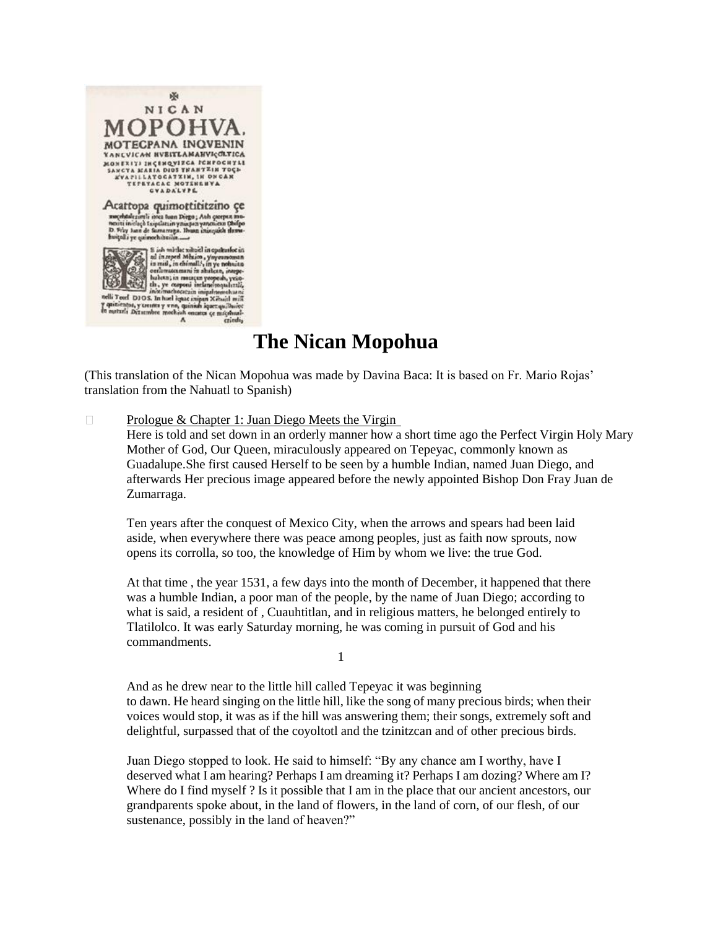

# **The Nican Mopohua**

(This translation of the Nican Mopohua was made by Davina Baca: It is based on Fr. Mario Rojas' translation from the Nahuatl to Spanish)

[Prologue & Chapter 1: Juan Diego Meets the Virgin](http://pages.ucsd.edu/~dkjordan/nahuatl/nican/nican1.html)   $\Box$ Here is told and set down in an orderly manner how a short time ago the Perfect Virgin Holy Mary Mother of God, Our Queen, miraculously appeared on Tepeyac, commonly known as Guadalupe.She first caused Herself to be seen by a humble Indian, named Juan Diego, and afterwards Her precious image appeared before the newly appointed Bishop Don Fray Juan de Zumarraga.

Ten years after the conquest of Mexico City, when the arrows and spears had been laid aside, when everywhere there was peace among peoples, just as faith now sprouts, now opens its corrolla, so too, the knowledge of Him by whom we live: the true God.

At that time , the year 1531, a few days into the month of December, it happened that there was a humble Indian, a poor man of the people, by the name of Juan Diego; according to what is said, a resident of , Cuauhtitlan, and in religious matters, he belonged entirely to Tlatilolco. It was early Saturday morning, he was coming in pursuit of God and his commandments.

1

And as he drew near to the little hill called Tepeyac it was beginning to dawn. He heard singing on the little hill, like the song of many precious birds; when their voices would stop, it was as if the hill was answering them; their songs, extremely soft and delightful, surpassed that of the coyoltotl and the tzinitzcan and of other precious birds.

Juan Diego stopped to look. He said to himself: "By any chance am I worthy, have I deserved what I am hearing? Perhaps I am dreaming it? Perhaps I am dozing? Where am I? Where do I find myself ? Is it possible that I am in the place that our ancient ancestors, our grandparents spoke about, in the land of flowers, in the land of corn, of our flesh, of our sustenance, possibly in the land of heaven?"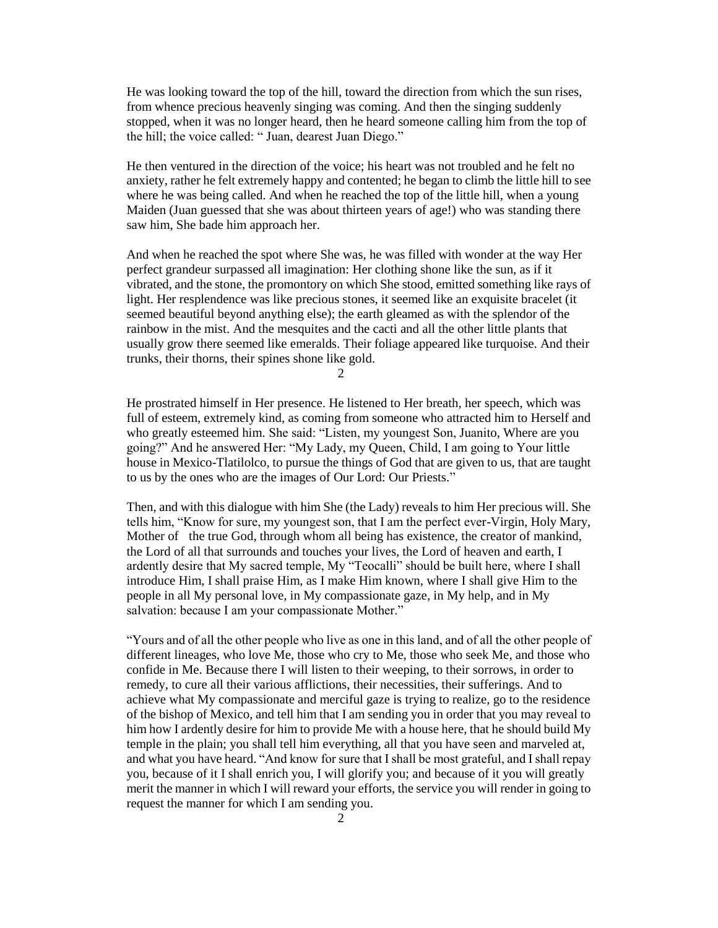He was looking toward the top of the hill, toward the direction from which the sun rises, from whence precious heavenly singing was coming. And then the singing suddenly stopped, when it was no longer heard, then he heard someone calling him from the top of the hill; the voice called: " Juan, dearest Juan Diego."

He then ventured in the direction of the voice; his heart was not troubled and he felt no anxiety, rather he felt extremely happy and contented; he began to climb the little hill to see where he was being called. And when he reached the top of the little hill, when a young Maiden (Juan guessed that she was about thirteen years of age!) who was standing there saw him, She bade him approach her.

And when he reached the spot where She was, he was filled with wonder at the way Her perfect grandeur surpassed all imagination: Her clothing shone like the sun, as if it vibrated, and the stone, the promontory on which She stood, emitted something like rays of light. Her resplendence was like precious stones, it seemed like an exquisite bracelet (it seemed beautiful beyond anything else); the earth gleamed as with the splendor of the rainbow in the mist. And the mesquites and the cacti and all the other little plants that usually grow there seemed like emeralds. Their foliage appeared like turquoise. And their trunks, their thorns, their spines shone like gold.

2

He prostrated himself in Her presence. He listened to Her breath, her speech, which was full of esteem, extremely kind, as coming from someone who attracted him to Herself and who greatly esteemed him. She said: "Listen, my youngest Son, Juanito, Where are you going?" And he answered Her: "My Lady, my Queen, Child, I am going to Your little house in Mexico-Tlatilolco, to pursue the things of God that are given to us, that are taught to us by the ones who are the images of Our Lord: Our Priests."

Then, and with this dialogue with him She (the Lady) reveals to him Her precious will. She tells him, "Know for sure, my youngest son, that I am the perfect ever-Virgin, Holy Mary, Mother of the true God, through whom all being has existence, the creator of mankind, the Lord of all that surrounds and touches your lives, the Lord of heaven and earth, I ardently desire that My sacred temple, My "Teocalli" should be built here, where I shall introduce Him, I shall praise Him, as I make Him known, where I shall give Him to the people in all My personal love, in My compassionate gaze, in My help, and in My salvation: because I am your compassionate Mother."

"Yours and of all the other people who live as one in this land, and of all the other people of different lineages, who love Me, those who cry to Me, those who seek Me, and those who confide in Me. Because there I will listen to their weeping, to their sorrows, in order to remedy, to cure all their various afflictions, their necessities, their sufferings. And to achieve what My compassionate and merciful gaze is trying to realize, go to the residence of the bishop of Mexico, and tell him that I am sending you in order that you may reveal to him how I ardently desire for him to provide Me with a house here, that he should build My temple in the plain; you shall tell him everything, all that you have seen and marveled at, and what you have heard. "And know for sure that I shall be most grateful, and I shall repay you, because of it I shall enrich you, I will glorify you; and because of it you will greatly merit the manner in which I will reward your efforts, the service you will render in going to request the manner for which I am sending you.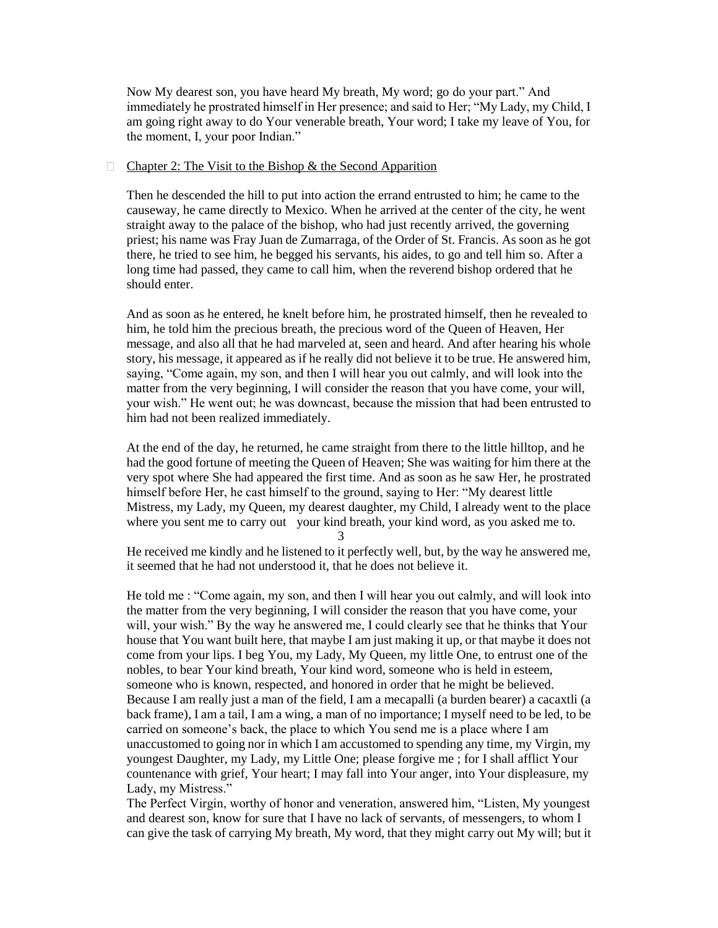Now My dearest son, you have heard My breath, My word; go do your part." And immediately he prostrated himself in Her presence; and said to Her; "My Lady, my Child, I am going right away to do Your venerable breath, Your word; I take my leave of You, for the moment, I, your poor Indian."

## $\Box$  [Chapter 2: The Visit to the Bishop & the Second Apparition](http://pages.ucsd.edu/~dkjordan/nahuatl/nican/nican2.html)

Then he descended the hill to put into action the errand entrusted to him; he came to the causeway, he came directly to Mexico. When he arrived at the center of the city, he went straight away to the palace of the bishop, who had just recently arrived, the governing priest; his name was Fray Juan de Zumarraga, of the Order of St. Francis. As soon as he got there, he tried to see him, he begged his servants, his aides, to go and tell him so. After a long time had passed, they came to call him, when the reverend bishop ordered that he should enter.

And as soon as he entered, he knelt before him, he prostrated himself, then he revealed to him, he told him the precious breath, the precious word of the Queen of Heaven, Her message, and also all that he had marveled at, seen and heard. And after hearing his whole story, his message, it appeared as if he really did not believe it to be true. He answered him, saying, "Come again, my son, and then I will hear you out calmly, and will look into the matter from the very beginning, I will consider the reason that you have come, your will, your wish." He went out; he was downcast, because the mission that had been entrusted to him had not been realized immediately.

At the end of the day, he returned, he came straight from there to the little hilltop, and he had the good fortune of meeting the Queen of Heaven; She was waiting for him there at the very spot where She had appeared the first time. And as soon as he saw Her, he prostrated himself before Her, he cast himself to the ground, saying to Her: "My dearest little Mistress, my Lady, my Queen, my dearest daughter, my Child, I already went to the place where you sent me to carry out your kind breath, your kind word, as you asked me to.

3

He received me kindly and he listened to it perfectly well, but, by the way he answered me, it seemed that he had not understood it, that he does not believe it.

He told me : "Come again, my son, and then I will hear you out calmly, and will look into the matter from the very beginning, I will consider the reason that you have come, your will, your wish." By the way he answered me, I could clearly see that he thinks that Your house that You want built here, that maybe I am just making it up, or that maybe it does not come from your lips. I beg You, my Lady, My Queen, my little One, to entrust one of the nobles, to bear Your kind breath, Your kind word, someone who is held in esteem, someone who is known, respected, and honored in order that he might be believed. Because I am really just a man of the field, I am a mecapalli (a burden bearer) a cacaxtli (a back frame), I am a tail, I am a wing, a man of no importance; I myself need to be led, to be carried on someone's back, the place to which You send me is a place where I am unaccustomed to going nor in which I am accustomed to spending any time, my Virgin, my youngest Daughter, my Lady, my Little One; please forgive me ; for I shall afflict Your countenance with grief, Your heart; I may fall into Your anger, into Your displeasure, my Lady, my Mistress."

The Perfect Virgin, worthy of honor and veneration, answered him, "Listen, My youngest and dearest son, know for sure that I have no lack of servants, of messengers, to whom I can give the task of carrying My breath, My word, that they might carry out My will; but it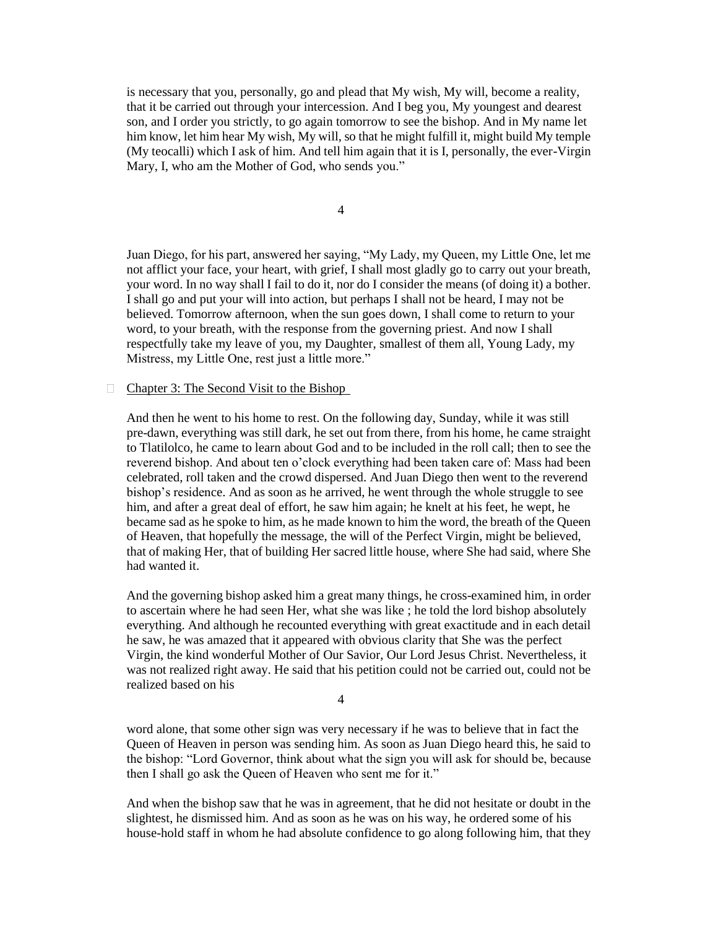is necessary that you, personally, go and plead that My wish, My will, become a reality, that it be carried out through your intercession. And I beg you, My youngest and dearest son, and I order you strictly, to go again tomorrow to see the bishop. And in My name let him know, let him hear My wish, My will, so that he might fulfill it, might build My temple (My teocalli) which I ask of him. And tell him again that it is I, personally, the ever-Virgin Mary, I, who am the Mother of God, who sends you."

4

Juan Diego, for his part, answered her saying, "My Lady, my Queen, my Little One, let me not afflict your face, your heart, with grief, I shall most gladly go to carry out your breath, your word. In no way shall I fail to do it, nor do I consider the means (of doing it) a bother. I shall go and put your will into action, but perhaps I shall not be heard, I may not be believed. Tomorrow afternoon, when the sun goes down, I shall come to return to your word, to your breath, with the response from the governing priest. And now I shall respectfully take my leave of you, my Daughter, smallest of them all, Young Lady, my Mistress, my Little One, rest just a little more."

## $\Box$  Chapter 3: The Second Visit to the Bishop

And then he went to his home to rest. On the following day, Sunday, while it was still pre-dawn, everything was still dark, he set out from there, from his home, he came straight to Tlatilolco, he came to learn about God and to be included in the roll call; then to see the reverend bishop. And about ten o'clock everything had been taken care of: Mass had been celebrated, roll taken and the crowd dispersed. And Juan Diego then went to the reverend bishop's residence. And as soon as he arrived, he went through the whole struggle to see him, and after a great deal of effort, he saw him again; he knelt at his feet, he wept, he became sad as he spoke to him, as he made known to him the word, the breath of the Queen of Heaven, that hopefully the message, the will of the Perfect Virgin, might be believed, that of making Her, that of building Her sacred little house, where She had said, where She had wanted it.

And the governing bishop asked him a great many things, he cross-examined him, in order to ascertain where he had seen Her, what she was like ; he told the lord bishop absolutely everything. And although he recounted everything with great exactitude and in each detail he saw, he was amazed that it appeared with obvious clarity that She was the perfect Virgin, the kind wonderful Mother of Our Savior, Our Lord Jesus Christ. Nevertheless, it was not realized right away. He said that his petition could not be carried out, could not be realized based on his

4

word alone, that some other sign was very necessary if he was to believe that in fact the Queen of Heaven in person was sending him. As soon as Juan Diego heard this, he said to the bishop: "Lord Governor, think about what the sign you will ask for should be, because then I shall go ask the Queen of Heaven who sent me for it."

And when the bishop saw that he was in agreement, that he did not hesitate or doubt in the slightest, he dismissed him. And as soon as he was on his way, he ordered some of his house-hold staff in whom he had absolute confidence to go along following him, that they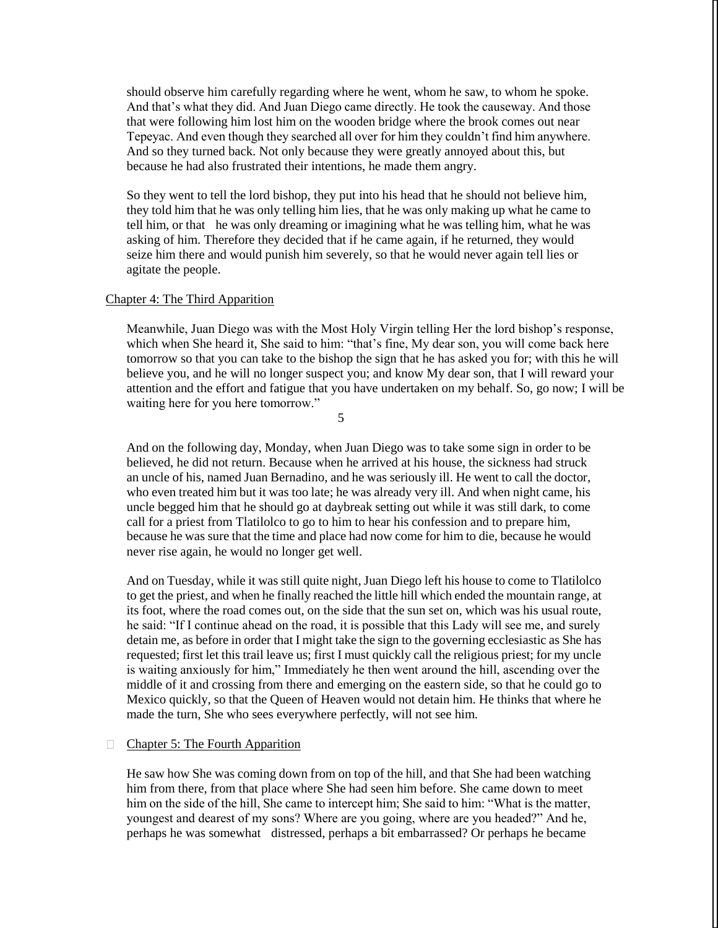should observe him carefully regarding where he went, whom he saw, to whom he spoke. And that's what they did. And Juan Diego came directly. He took the causeway. And those that were following him lost him on the wooden bridge where the brook comes out near Tepeyac. And even though they searched all over for him they couldn't find him anywhere. And so they turned back. Not only because they were greatly annoyed about this, but because he had also frustrated their intentions, he made them angry.

So they went to tell the lord bishop, they put into his head that he should not believe him, they told him that he was only telling him lies, that he was only making up what he came to tell him, or that he was only dreaming or imagining what he was telling him, what he was asking of him. Therefore they decided that if he came again, if he returned, they would seize him there and would punish him severely, so that he would never again tell lies or agitate the people.

## [Chapter 4: The Third Apparition](http://pages.ucsd.edu/~dkjordan/nahuatl/nican/nican4.html)

Meanwhile, Juan Diego was with the Most Holy Virgin telling Her the lord bishop's response, which when She heard it, She said to him: "that's fine, My dear son, you will come back here tomorrow so that you can take to the bishop the sign that he has asked you for; with this he will believe you, and he will no longer suspect you; and know My dear son, that I will reward your attention and the effort and fatigue that you have undertaken on my behalf. So, go now; I will be waiting here for you here tomorrow."

5

And on the following day, Monday, when Juan Diego was to take some sign in order to be believed, he did not return. Because when he arrived at his house, the sickness had struck an uncle of his, named Juan Bernadino, and he was seriously ill. He went to call the doctor, who even treated him but it was too late; he was already very ill. And when night came, his uncle begged him that he should go at daybreak setting out while it was still dark, to come call for a priest from Tlatilolco to go to him to hear his confession and to prepare him, because he was sure that the time and place had now come for him to die, because he would never rise again, he would no longer get well.

And on Tuesday, while it was still quite night, Juan Diego left his house to come to Tlatilolco to get the priest, and when he finally reached the little hill which ended the mountain range, at its foot, where the road comes out, on the side that the sun set on, which was his usual route, he said: "If I continue ahead on the road, it is possible that this Lady will see me, and surely detain me, as before in order that I might take the sign to the governing ecclesiastic as She has requested; first let this trail leave us; first I must quickly call the religious priest; for my uncle is waiting anxiously for him," Immediately he then went around the hill, ascending over the middle of it and crossing from there and emerging on the eastern side, so that he could go to Mexico quickly, so that the Queen of Heaven would not detain him. He thinks that where he made the turn, She who sees everywhere perfectly, will not see him.

#### □ [Chapter 5: The Fourth Apparition](http://pages.ucsd.edu/~dkjordan/nahuatl/nican/nican5.html)

He saw how She was coming down from on top of the hill, and that She had been watching him from there, from that place where She had seen him before. She came down to meet him on the side of the hill, She came to intercept him; She said to him: "What is the matter, youngest and dearest of my sons? Where are you going, where are you headed?" And he, perhaps he was somewhat distressed, perhaps a bit embarrassed? Or perhaps he became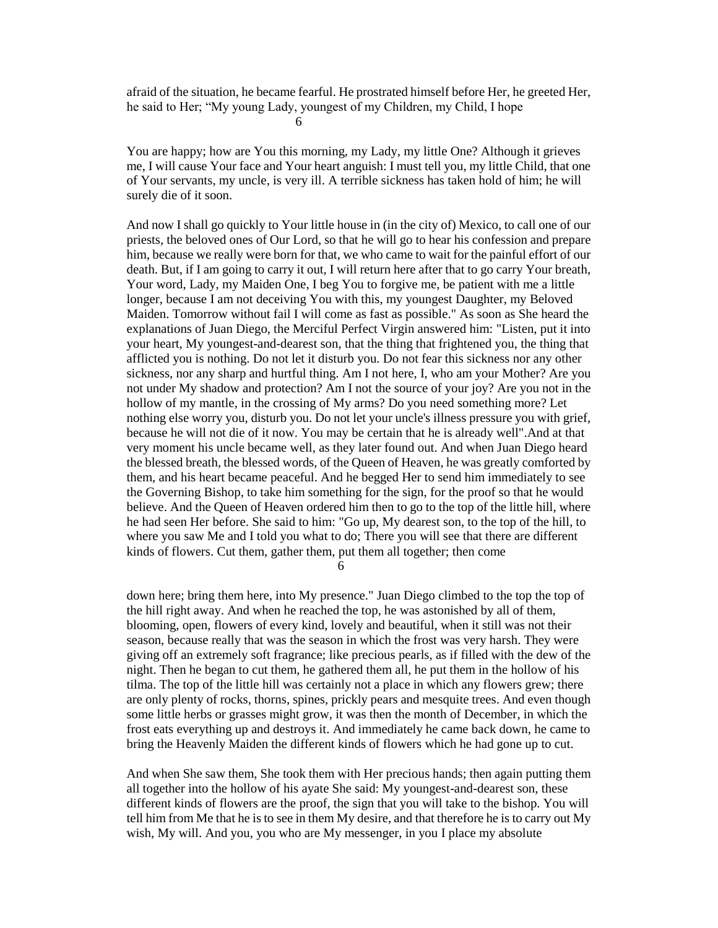afraid of the situation, he became fearful. He prostrated himself before Her, he greeted Her, he said to Her; "My young Lady, youngest of my Children, my Child, I hope

6

You are happy; how are You this morning, my Lady, my little One? Although it grieves me, I will cause Your face and Your heart anguish: I must tell you, my little Child, that one of Your servants, my uncle, is very ill. A terrible sickness has taken hold of him; he will surely die of it soon.

And now I shall go quickly to Your little house in (in the city of) Mexico, to call one of our priests, the beloved ones of Our Lord, so that he will go to hear his confession and prepare him, because we really were born for that, we who came to wait for the painful effort of our death. But, if I am going to carry it out, I will return here after that to go carry Your breath, Your word, Lady, my Maiden One, I beg You to forgive me, be patient with me a little longer, because I am not deceiving You with this, my youngest Daughter, my Beloved Maiden. Tomorrow without fail I will come as fast as possible." As soon as She heard the explanations of Juan Diego, the Merciful Perfect Virgin answered him: "Listen, put it into your heart, My youngest-and-dearest son, that the thing that frightened you, the thing that afflicted you is nothing. Do not let it disturb you. Do not fear this sickness nor any other sickness, nor any sharp and hurtful thing. Am I not here, I, who am your Mother? Are you not under My shadow and protection? Am I not the source of your joy? Are you not in the hollow of my mantle, in the crossing of My arms? Do you need something more? Let nothing else worry you, disturb you. Do not let your uncle's illness pressure you with grief, because he will not die of it now. You may be certain that he is already well".And at that very moment his uncle became well, as they later found out. And when Juan Diego heard the blessed breath, the blessed words, of the Queen of Heaven, he was greatly comforted by them, and his heart became peaceful. And he begged Her to send him immediately to see the Governing Bishop, to take him something for the sign, for the proof so that he would believe. And the Queen of Heaven ordered him then to go to the top of the little hill, where he had seen Her before. She said to him: "Go up, My dearest son, to the top of the hill, to where you saw Me and I told you what to do; There you will see that there are different kinds of flowers. Cut them, gather them, put them all together; then come

6

down here; bring them here, into My presence." Juan Diego climbed to the top the top of the hill right away. And when he reached the top, he was astonished by all of them, blooming, open, flowers of every kind, lovely and beautiful, when it still was not their season, because really that was the season in which the frost was very harsh. They were giving off an extremely soft fragrance; like precious pearls, as if filled with the dew of the night. Then he began to cut them, he gathered them all, he put them in the hollow of his tilma. The top of the little hill was certainly not a place in which any flowers grew; there are only plenty of rocks, thorns, spines, prickly pears and mesquite trees. And even though some little herbs or grasses might grow, it was then the month of December, in which the frost eats everything up and destroys it. And immediately he came back down, he came to bring the Heavenly Maiden the different kinds of flowers which he had gone up to cut.

And when She saw them, She took them with Her precious hands; then again putting them all together into the hollow of his ayate She said: My youngest-and-dearest son, these different kinds of flowers are the proof, the sign that you will take to the bishop. You will tell him from Me that he is to see in them My desire, and that therefore he is to carry out My wish, My will. And you, you who are My messenger, in you I place my absolute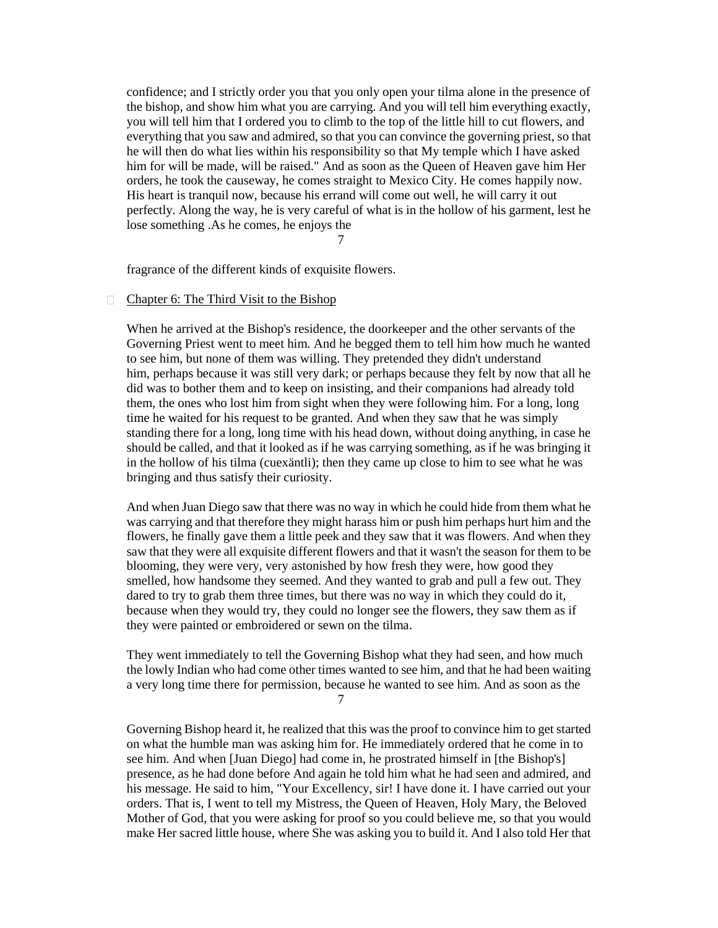confidence; and I strictly order you that you only open your tilma alone in the presence of the bishop, and show him what you are carrying. And you will tell him everything exactly, you will tell him that I ordered you to climb to the top of the little hill to cut flowers, and everything that you saw and admired, so that you can convince the governing priest, so that he will then do what lies within his responsibility so that My temple which I have asked him for will be made, will be raised." And as soon as the Queen of Heaven gave him Her orders, he took the causeway, he comes straight to Mexico City. He comes happily now. His heart is tranquil now, because his errand will come out well, he will carry it out perfectly. Along the way, he is very careful of what is in the hollow of his garment, lest he lose something .As he comes, he enjoys the

7

fragrance of the different kinds of exquisite flowers.

#### $\Box$  [Chapter 6: The Third Visit to the Bishop](http://pages.ucsd.edu/~dkjordan/nahuatl/nican/nican6.html)

When he arrived at the Bishop's residence, the doorkeeper and the other servants of the Governing Priest went to meet him. And he begged them to tell him how much he wanted to see him, but none of them was willing. They pretended they didn't understand him, perhaps because it was still very dark; or perhaps because they felt by now that all he did was to bother them and to keep on insisting, and their companions had already told them, the ones who lost him from sight when they were following him. For a long, long time he waited for his request to be granted. And when they saw that he was simply standing there for a long, long time with his head down, without doing anything, in case he should be called, and that it looked as if he was carrying something, as if he was bringing it in the hollow of his tilma (cuexäntli); then they came up close to him to see what he was bringing and thus satisfy their curiosity.

And when Juan Diego saw that there was no way in which he could hide from them what he was carrying and that therefore they might harass him or push him perhaps hurt him and the flowers, he finally gave them a little peek and they saw that it was flowers. And when they saw that they were all exquisite different flowers and that it wasn't the season for them to be blooming, they were very, very astonished by how fresh they were, how good they smelled, how handsome they seemed. And they wanted to grab and pull a few out. They dared to try to grab them three times, but there was no way in which they could do it, because when they would try, they could no longer see the flowers, they saw them as if they were painted or embroidered or sewn on the tilma.

They went immediately to tell the Governing Bishop what they had seen, and how much the lowly Indian who had come other times wanted to see him, and that he had been waiting a very long time there for permission, because he wanted to see him. And as soon as the

7

Governing Bishop heard it, he realized that this was the proof to convince him to get started on what the humble man was asking him for. He immediately ordered that he come in to see him. And when [Juan Diego] had come in, he prostrated himself in [the Bishop's] presence, as he had done before And again he told him what he had seen and admired, and his message. He said to him, "Your Excellency, sir! I have done it. I have carried out your orders. That is, I went to tell my Mistress, the Queen of Heaven, Holy Mary, the Beloved Mother of God, that you were asking for proof so you could believe me, so that you would make Her sacred little house, where She was asking you to build it. And I also told Her that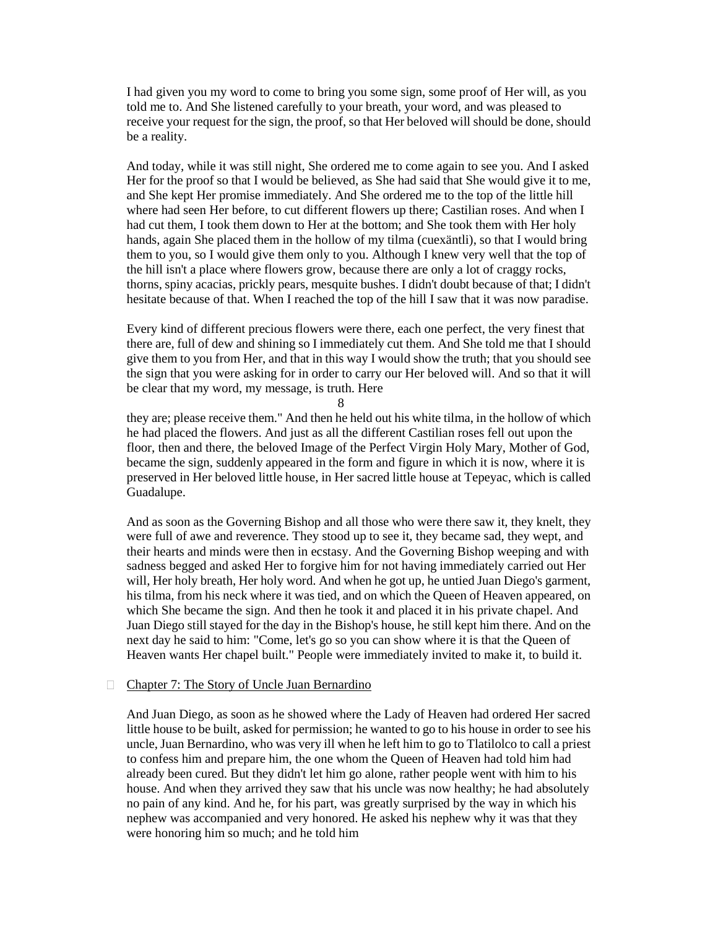I had given you my word to come to bring you some sign, some proof of Her will, as you told me to. And She listened carefully to your breath, your word, and was pleased to receive your request for the sign, the proof, so that Her beloved will should be done, should be a reality.

And today, while it was still night, She ordered me to come again to see you. And I asked Her for the proof so that I would be believed, as She had said that She would give it to me, and She kept Her promise immediately. And She ordered me to the top of the little hill where had seen Her before, to cut different flowers up there; Castilian roses. And when I had cut them, I took them down to Her at the bottom; and She took them with Her holy hands, again She placed them in the hollow of my tilma (cuexäntli), so that I would bring them to you, so I would give them only to you. Although I knew very well that the top of the hill isn't a place where flowers grow, because there are only a lot of craggy rocks, thorns, spiny acacias, prickly pears, mesquite bushes. I didn't doubt because of that; I didn't hesitate because of that. When I reached the top of the hill I saw that it was now paradise.

Every kind of different precious flowers were there, each one perfect, the very finest that there are, full of dew and shining so I immediately cut them. And She told me that I should give them to you from Her, and that in this way I would show the truth; that you should see the sign that you were asking for in order to carry our Her beloved will. And so that it will be clear that my word, my message, is truth. Here

8

they are; please receive them." And then he held out his white tilma, in the hollow of which he had placed the flowers. And just as all the different Castilian roses fell out upon the floor, then and there, the beloved Image of the Perfect Virgin Holy Mary, Mother of God, became the sign, suddenly appeared in the form and figure in which it is now, where it is preserved in Her beloved little house, in Her sacred little house at Tepeyac, which is called Guadalupe.

And as soon as the Governing Bishop and all those who were there saw it, they knelt, they were full of awe and reverence. They stood up to see it, they became sad, they wept, and their hearts and minds were then in ecstasy. And the Governing Bishop weeping and with sadness begged and asked Her to forgive him for not having immediately carried out Her will, Her holy breath, Her holy word. And when he got up, he untied Juan Diego's garment, his tilma, from his neck where it was tied, and on which the Queen of Heaven appeared, on which She became the sign. And then he took it and placed it in his private chapel. And Juan Diego still stayed for the day in the Bishop's house, he still kept him there. And on the next day he said to him: "Come, let's go so you can show where it is that the Queen of Heaven wants Her chapel built." People were immediately invited to make it, to build it.

### □ [Chapter 7: The Story of Uncle Juan Bernardino](http://pages.ucsd.edu/~dkjordan/nahuatl/nican/nican7.html)

And Juan Diego, as soon as he showed where the Lady of Heaven had ordered Her sacred little house to be built, asked for permission; he wanted to go to his house in order to see his uncle, Juan Bernardino, who was very ill when he left him to go to Tlatilolco to call a priest to confess him and prepare him, the one whom the Queen of Heaven had told him had already been cured. But they didn't let him go alone, rather people went with him to his house. And when they arrived they saw that his uncle was now healthy; he had absolutely no pain of any kind. And he, for his part, was greatly surprised by the way in which his nephew was accompanied and very honored. He asked his nephew why it was that they were honoring him so much; and he told him